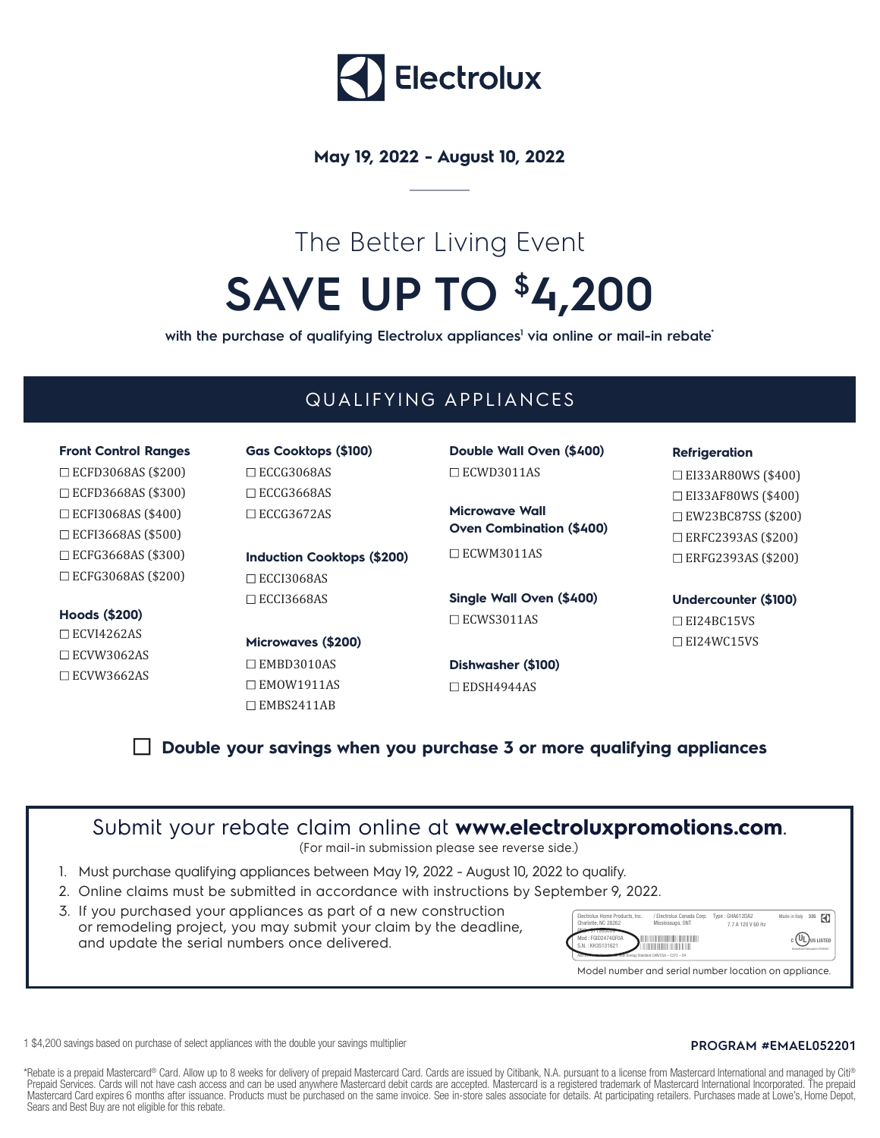

## **May 19, 2022 - August 10, 2022**

# The Better Living Event **SAVE UP TO \$4,200**

with the purchase of qualifying Electrolux appliances<sup>1</sup> via online or mail-in rebate<sup>\*</sup>

# QUALIFYING APPLIANCES

ECFD3068AS (\$200) ECFD3668AS (\$300) ECFI3068AS (\$400) ECFI3668AS (\$500) ECFG3668AS (\$300) ECFG3068AS (\$200)

### **Hoods (\$200)**

 $\Box$  ECVI4262AS ECVW3062AS  $\Box$  ECVW3662AS

ECCG3068AS □ECCG3668AS ECCG3672AS

**Induction Cooktops (\$200)**  $\Box$ ECCI3068AS  $\square$  ECCI3668AS

**Microwaves (\$200)** EMBD3010AS □EMOW1911AS EMBS2411AB

**Front Control Ranges Gas Cooktops (\$100) Double Wall Oven (\$400)** ECWD3011AS

> **Microwave Wall Oven Combination (\$400)** □ECWM3011AS

**Single Wall Oven (\$400)** □ECWS3011AS

**Dishwasher (\$100)** EDSH4944AS

#### **Refrigeration**

EI33AR80WS (\$400) EI33AF80WS (\$400) EW23BC87SS (\$200) ERFC2393AS (\$200) ERFG2393AS (\$200)

**Undercounter (\$100)** □ EI24BC15VS EI24WC15VS

## **Double your savings when you purchase 3 or more qualifying appliances**

# Submit your rebate claim online at **www.electroluxpromotions.com**.

(For mail-in submission please see reverse side.)

- 1. Must purchase qualifying appliances between May 19, 2022 August 10, 2022 to qualify.
- 2. Online claims must be submitted in accordance with instructions by September 9, 2022.
- 3. If you purchased your appliances as part of a new construction or remodeling project, you may submit your claim by the deadline, and update the serial numbers once delivered.



1 \$4,200 savings based on purchase of select appliances with the double your savings multiplier **PROGRAM #EMAEL052201**

\*Rebate is a prepaid Mastercard® Card. Allow up to 8 weeks for delivery of prepaid Mastercard Card. Cards are issued by Citibank, N.A. pursuant to a license from Mastercard International and managed by Citi® Prepaid Services. Cards will not have cash access and can be used anywhere Mastercard debit cards are accepted. Mastercard is a registered trademark of Mastercard International Incorporated. The prepaid Mastercard Card expires 6 months after issuance. Products must be purchased on the same invoice. See in-store sales associate for details. At participating retailers. Purchases made at Lowe's, Home Depot, Sears and Best Buy are not eligible for this rebate.